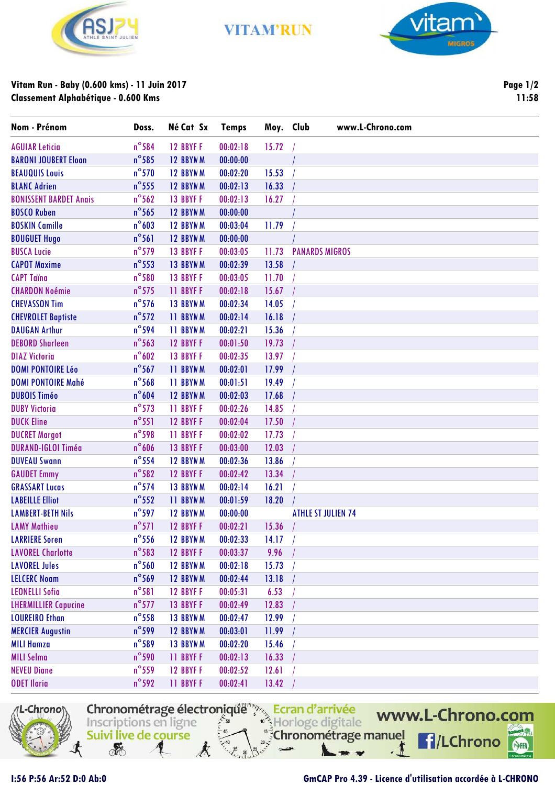

**VITAM'RUN** 



## **Vitam Run - Baby (0.600 kms) - 11 Juin 2017 Classement Alphabétique - 0.600 Kms**

**Page 1/2 11:58**

| Nom - Prénom                  | Doss.           | Né Cat Sx       | <b>Temps</b> | Moy. Club |                       | www.L-Chrono.com          |
|-------------------------------|-----------------|-----------------|--------------|-----------|-----------------------|---------------------------|
| <b>AGUIAR Leticia</b>         | $n^{\circ}$ 584 | 12 BBYF F       | 00:02:18     | 15.72     |                       |                           |
| <b>BARONI JOUBERT Eloan</b>   | $n^{\circ}$ 585 | 12 BBYN M       | 00:00:00     |           |                       |                           |
| <b>BEAUQUIS Louis</b>         | $n^{\circ}$ 570 | 12 BBYNM        | 00:02:20     | 15.53     |                       |                           |
| <b>BLANC Adrien</b>           | $n^{\circ}$ 555 | 12 BBYNM        | 00:02:13     | 16.33     |                       |                           |
| <b>BONISSENT BARDET Anais</b> | $n^{\circ}$ 562 | 13 BBYF F       | 00:02:13     | 16.27     |                       |                           |
| <b>BOSCO Ruben</b>            | $n^{\circ}$ 565 | 12 BBYNM        | 00:00:00     |           |                       |                           |
| <b>BOSKIN Camille</b>         | $n^{\circ}603$  | 12 BBYN M       | 00:03:04     | 11.79     |                       |                           |
| <b>BOUGUET Hugo</b>           | $n^{\circ}$ 561 | 12 BBYN M       | 00:00:00     |           |                       |                           |
| <b>BUSCA Lucie</b>            | $n^{\circ}$ 579 | 13 BBYF F       | 00:03:05     | 11.73     | <b>PANARDS MIGROS</b> |                           |
| <b>CAPOT Maxime</b>           | $n^{\circ}$ 553 | 13 BBYNM        | 00:02:39     | 13.58     |                       |                           |
| <b>CAPT Taïna</b>             | $n^{\circ}$ 580 | 13 BBYF F       | 00:03:05     | 11.70     |                       |                           |
| <b>CHARDON Noémie</b>         | $n^{\circ}$ 575 | <b>11 BBYFF</b> | 00:02:18     | 15.67     |                       |                           |
| <b>CHEVASSON Tim</b>          | $n^{\circ}$ 576 | 13 BBYN M       | 00:02:34     | 14.05     |                       |                           |
| <b>CHEVROLET Baptiste</b>     | $n^{\circ}572$  | <b>11 BBYNM</b> | 00:02:14     | 16.18     |                       |                           |
| <b>DAUGAN Arthur</b>          | $n^{\circ}$ 594 | 11 BBYNM        | 00:02:21     | 15.36     |                       |                           |
| <b>DEBORD Sharleen</b>        | $n^{\circ}$ 563 | 12 BBYF F       | 00:01:50     | 19.73     |                       |                           |
| <b>DIAZ Victoria</b>          | $n^{\circ}602$  | 13 BBYF F       | 00:02:35     | 13.97     |                       |                           |
| <b>DOMI PONTOIRE Léo</b>      | $n^{\circ}$ 567 | <b>11 BBYNM</b> | 00:02:01     | 17.99     |                       |                           |
| <b>DOMI PONTOIRE Mahé</b>     | $n^{\circ}$ 568 | <b>11 BBYNM</b> | 00:01:51     | 19.49     |                       |                           |
| <b>DUBOIS Timéo</b>           | $n^{\circ}604$  | 12 BBYN M       | 00:02:03     | 17.68     |                       |                           |
| <b>DUBY Victoria</b>          | $n^{\circ}$ 573 | <b>11 BBYFF</b> | 00:02:26     | 14.85     |                       |                           |
| <b>DUCK Eline</b>             | $n^{\circ}$ 551 | 12 BBYF F       | 00:02:04     | 17.50     |                       |                           |
| <b>DUCRET Margot</b>          | $n^{\circ}$ 598 | <b>11 BBYFF</b> | 00:02:02     | 17.73     |                       |                           |
| <b>DURAND-IGLOI Timéa</b>     | $n^{\circ}$ 606 | 13 BBYF F       | 00:03:00     | 12.03     |                       |                           |
| <b>DUVEAU Swann</b>           | $n^{\circ}$ 554 | 12 BBYNM        | 00:02:36     | 13.86     |                       |                           |
| <b>GAUDET Emmy</b>            | $n^{\circ}$ 582 | 12 BBYF F       | 00:02:42     | 13.34     |                       |                           |
| <b>GRASSART Lucas</b>         | $n^{\circ}$ 574 | 13 BBYNM        | 00:02:14     | 16.21     |                       |                           |
| <b>LABEILLE Elliot</b>        | $n^{\circ}$ 552 | <b>11 BBYNM</b> | 00:01:59     | 18.20     |                       |                           |
| <b>LAMBERT-BETH Nils</b>      | $n^{\circ}$ 597 | 12 BBYN M       | 00:00:00     |           |                       | <b>ATHLE ST JULIEN 74</b> |
| <b>LAMY Mathieu</b>           | $n^{\circ}571$  | 12 BBYF F       | 00:02:21     | 15.36     |                       |                           |
| <b>LARRIERE Soren</b>         | $n^{\circ}$ 556 | 12 BBYN M       | 00:02:33     | 14.17     |                       |                           |
| <b>LAVOREL Charlotte</b>      | $n^{\circ}$ 583 | 12 BBYF F       | 00:03:37     | 9.96      |                       |                           |
| <b>LAVOREL Jules</b>          | $n^{\circ}$ 560 | 12 BBYN M       | 00:02:18     | 15.73     |                       |                           |
| <b>LELCERC Noam</b>           | $n^{\circ}$ 569 | 12 BBYNM        | 00:02:44     | 13.18     |                       |                           |
| <b>LEONELLI Sofia</b>         | $n^{\circ}581$  | 12 BBYF F       | 00:05:31     | 6.53      |                       |                           |
| <b>LHERMILLIER Capucine</b>   | $n^{\circ}$ 577 | 13 BBYF F       | 00:02:49     | 12.83     |                       |                           |
| <b>LOUREIRO Ethan</b>         | $n^{\circ}$ 558 | 13 BBYNM        | 00:02:47     | 12.99     |                       |                           |
| <b>MERCIER Augustin</b>       | $n^{\circ}$ 599 | 12 BBYNM        | 00:03:01     | 11.99     |                       |                           |
| <b>MILI Hamza</b>             | $n^{\circ}$ 589 | 13 BBYN M       | 00:02:20     | 15.46     |                       |                           |
| <b>MILI Selma</b>             | $n^{\circ}$ 590 | <b>11 BBYFF</b> | 00:02:13     | 16.33     |                       |                           |
| <b>NEVEU Diane</b>            | $n^{\circ}$ 559 | 12 BBYF F       | 00:02:52     | 12.61     |                       |                           |
| <b>ODET Ilaria</b>            | $n^{\circ}$ 592 | <b>11 BBYFF</b> | 00:02:41     | 13.42     |                       |                           |

Ecran d'arrivée<br>Inscriptions en ligne



Suivi live de course

**REA** 

## **I:56 P:56 Ar:52 D:0 Ab:0 GmCAP Pro 4.39 - Licence d'utilisation accordée à L-CHRONO**

Chronométrage manuel

www.L-Chrono.com

**f**/LChrono

SHA